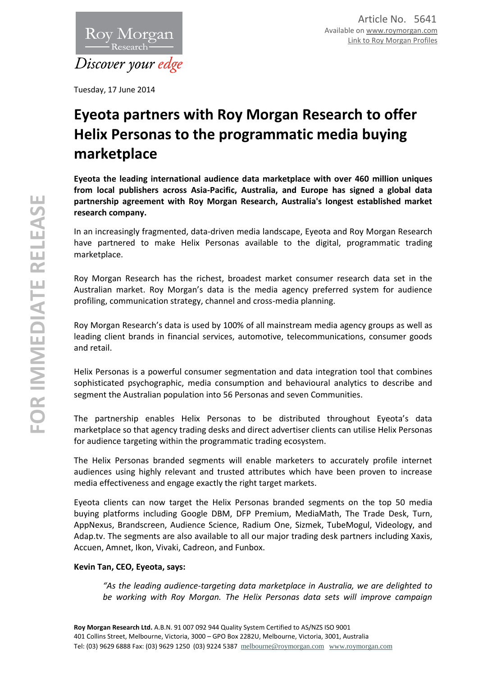

Tuesday, 17 June 2014

# **Eyeota partners with Roy Morgan Research to offer Helix Personas to the programmatic media buying marketplace**

**Eyeota the leading international audience data marketplace with over 460 million uniques from local publishers across Asia-Pacific, Australia, and Europe has signed a global data partnership agreement with Roy Morgan Research, Australia's longest established market research company.**

In an increasingly fragmented, data-driven media landscape, Eyeota and Roy Morgan Research have partnered to make Helix Personas available to the digital, programmatic trading marketplace.

Roy Morgan Research has the richest, broadest market consumer research data set in the Australian market. Roy Morgan's data is the media agency preferred system for audience profiling, communication strategy, channel and cross-media planning.

Roy Morgan Research's data is used by 100% of all mainstream media agency groups as well as leading client brands in financial services, automotive, telecommunications, consumer goods and retail.

Helix Personas is a powerful consumer segmentation and data integration tool that combines sophisticated psychographic, media consumption and behavioural analytics to describe and segment the Australian population into 56 Personas and seven Communities.

The partnership enables Helix Personas to be distributed throughout Eyeota's data marketplace so that agency trading desks and direct advertiser clients can utilise Helix Personas for audience targeting within the programmatic trading ecosystem.

The Helix Personas branded segments will enable marketers to accurately profile internet audiences using highly relevant and trusted attributes which have been proven to increase media effectiveness and engage exactly the right target markets.

Eyeota clients can now target the Helix Personas branded segments on the top 50 media buying platforms including Google DBM, DFP Premium, MediaMath, The Trade Desk, Turn, AppNexus, Brandscreen, Audience Science, Radium One, Sizmek, TubeMogul, Videology, and Adap.tv. The segments are also available to all our major trading desk partners including Xaxis, Accuen, Amnet, Ikon, Vivaki, Cadreon, and Funbox.

## **Kevin Tan, CEO, Eyeota, says:**

*"As the leading audience-targeting data marketplace in Australia, we are delighted to be working with Roy Morgan. The Helix Personas data sets will improve campaign*